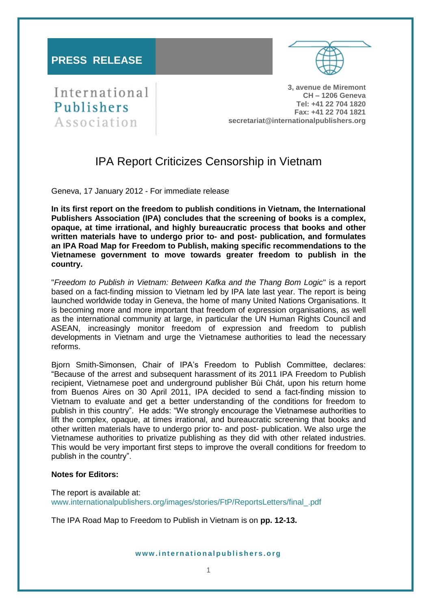### **PRESS RELEASE**



# International Publishers Association

**3, avenue de Miremont CH – 1206 Geneva Tel: +41 22 704 1820 Fax: +41 22 704 1821 secretariat@internationalpublishers.org**

## IPA Report Criticizes Censorship in Vietnam

Geneva, 17 January 2012 - For immediate release

**In its first report on the freedom to publish conditions in Vietnam, the International Publishers Association (IPA) concludes that the screening of books is a complex, opaque, at time irrational, and highly bureaucratic process that books and other written materials have to undergo prior to- and post- publication, and formulates an IPA Road Map for Freedom to Publish, making specific recommendations to the Vietnamese government to move towards greater freedom to publish in the country.** 

"*Freedom to Publish in Vietnam: Between Kafka and the Thang Bom Logic*" is a report based on a fact-finding mission to Vietnam led by IPA late last year. The report is being launched worldwide today in Geneva, the home of many United Nations Organisations. It is becoming more and more important that freedom of expression organisations, as well as the international community at large, in particular the UN Human Rights Council and ASEAN, increasingly monitor freedom of expression and freedom to publish developments in Vietnam and urge the Vietnamese authorities to lead the necessary reforms.

Bjorn Smith-Simonsen, Chair of IPA's Freedom to Publish Committee, declares: "Because of the arrest and subsequent harassment of its 2011 IPA Freedom to Publish recipient, Vietnamese poet and underground publisher Bùi Chát, upon his return home from Buenos Aires on 30 April 2011, IPA decided to send a fact-finding mission to Vietnam to evaluate and get a better understanding of the conditions for freedom to publish in this country". He adds: "We strongly encourage the Vietnamese authorities to lift the complex, opaque, at times irrational, and bureaucratic screening that books and other written materials have to undergo prior to- and post- publication. We also urge the Vietnamese authorities to privatize publishing as they did with other related industries. This would be very important first steps to improve the overall conditions for freedom to publish in the country".

#### **Notes for Editors:**

The report is available at: [www.internationalpublishers.org/images/stories/FtP/ReportsLetters/final\\_.pdf](http://www.internationalpublishers.org/images/stories/FtP/ReportsLetters/final_.pdf)

The IPA Road Map to Freedom to Publish in Vietnam is on **pp. 12-13.**

#### **w w w . i n t e r n a t i o n a l p u b l i s h e r s . o r g**